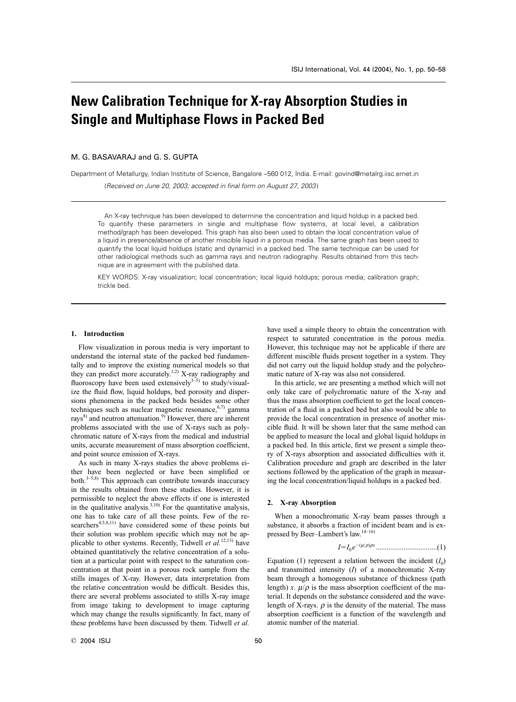# **New Calibration Technique for X-ray Absorption Studies in Single and Multiphase Flows in Packed Bed**

# M. G. BASAVARAJ and G. S. GUPTA

Department of Metallurgy, Indian Institute of Science, Bangalore –560 012, India. E-mail: govind@metalrg.iisc.ernet.in

(Received on June 20, 2003; accepted in final form on August 27, 2003)

An X-ray technique has been developed to determine the concentration and liquid holdup in a packed bed. To quantify these parameters in single and multiphase flow systems, at local level, a calibration method/graph has been developed. This graph has also been used to obtain the local concentration value of a liquid in presence/absence of another miscible liquid in a porous media. The same graph has been used to quantify the local liquid holdups (static and dynamic) in a packed bed. The same technique can be used for other radiological methods such as gamma rays and neutron radiography. Results obtained from this technique are in agreement with the published data.

KEY WORDS: X-ray visualization; local concentration; local liquid holdups; porous media; calibration graph; trickle bed.

#### **1. Introduction**

Flow visualization in porous media is very important to understand the internal state of the packed bed fundamentally and to improve the existing numerical models so that they can predict more accurately.<sup>1,2)</sup> X-ray radiography and fluoroscopy have been used extensively $3-5$  to study/visualize the fluid flow, liquid holdups, bed porosity and dispersions phenomena in the packed beds besides some other techniques such as nuclear magnetic resonance,  $6,7$  gamma rays<sup>8)</sup> and neutron attenuation.<sup>9)</sup> However, there are inherent problems associated with the use of X-rays such as polychromatic nature of X-rays from the medical and industrial units, accurate measurement of mass absorption coefficient, and point source emission of X-rays.

As such in many X-rays studies the above problems either have been neglected or have been simplified or both. $3-5,8$ ) This approach can contribute towards inaccuracy in the results obtained from these studies. However, it is permissible to neglect the above effects if one is interested in the qualitative analysis.<sup>3,10)</sup> For the quantitative analysis, one has to take care of all these points. Few of the researchers<sup>4,5,8,11)</sup> have considered some of these points but their solution was problem specific which may not be applicable to other systems. Recently, Tidwell *et al.*12,13) have obtained quantitatively the relative concentration of a solution at a particular point with respect to the saturation concentration at that point in a porous rock sample from the stills images of X-ray. However, data interpretation from the relative concentration would be difficult. Besides this, there are several problems associated to stills X-ray image from image taking to development to image capturing which may change the results significantly. In fact, many of these problems have been discussed by them. Tidwell *et al.*

have used a simple theory to obtain the concentration with respect to saturated concentration in the porous media. However, this technique may not be applicable if there are different miscible fluids present together in a system. They did not carry out the liquid holdup study and the polychromatic nature of X-ray was also not considered.

In this article, we are presenting a method which will not only take care of polychromatic nature of the X-ray and thus the mass absorption coefficient to get the local concentration of a fluid in a packed bed but also would be able to provide the local concentration in presence of another miscible fluid. It will be shown later that the same method can be applied to measure the local and global liquid holdups in a packed bed. In this article, first we present a simple theory of X-rays absorption and associated difficulties with it. Calibration procedure and graph are described in the later sections followed by the application of the graph in measuring the local concentration/liquid holdups in a packed bed.

## **2. X-ray Absorption**

When a monochromatic X-ray beam passes through a substance, it absorbs a fraction of incident beam and is expressed by Beer–Lambert's law.14–16)

*I*-*I* 0 *e* (m/r)r*x* .................................(1)

Equation (1) represent a relation between the incident  $(I_0)$ and transmitted intensity (*I*) of a monochromatic X-ray beam through a homogenous substance of thickness (path length) *x*.  $\mu/\rho$  is the mass absorption coefficient of the material. It depends on the substance considered and the wavelength of X-rays.  $\rho$  is the density of the material. The mass absorption coefficient is a function of the wavelength and atomic number of the material.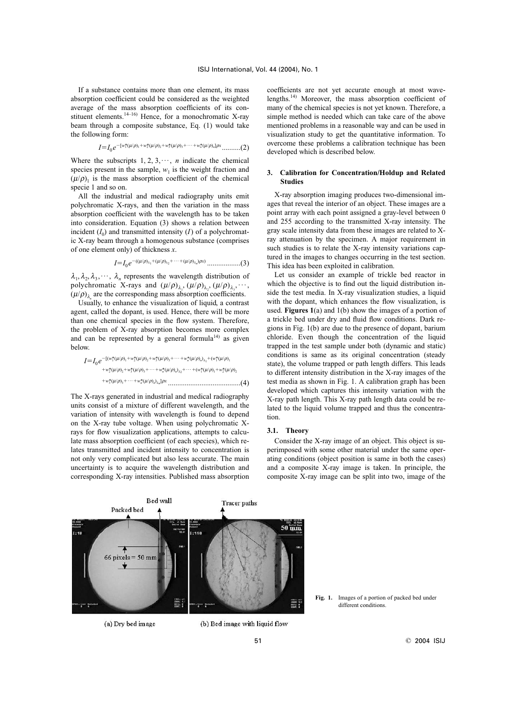If a substance contains more than one element, its mass absorption coefficient could be considered as the weighted average of the mass absorption coefficients of its constituent elements.<sup>14–16)</sup> Hence, for a monochromatic X-ray beam through a composite substance, Eq. (1) would take the following form:

$$
I = I_0 e^{-\left[w_1^*(\mu/\rho)_1 + w_2^*(\mu/\rho)_2 + w_3^*(\mu/\rho)_3 + \cdots + w_n^*(\mu/\rho)_n\right]\rho x} \dots \dots \dots (2)
$$

Where the subscripts  $1, 2, 3, \dots, n$  indicate the chemical species present in the sample,  $w_1$  is the weight fraction and  $(\mu/\rho)$ <sub>1</sub> is the mass absorption coefficient of the chemical specie 1 and so on.

All the industrial and medical radiography units emit polychromatic X-rays, and then the variation in the mass absorption coefficient with the wavelength has to be taken into consideration. Equation (3) shows a relation between incident  $(I_0)$  and transmitted intensity  $(I)$  of a polychromatic X-ray beam through a homogenous substance (comprises of one element only) of thickness *x*.

$$
I=I_0e^{-((\mu/\rho)_{\lambda_1}+(\mu/\rho)_{\lambda_2}+\cdots+(\mu/\rho)_{\lambda_n})\rho x)}\cdots\cdots\cdots(3)
$$

 $\lambda_1, \lambda_2, \lambda_3, \cdots, \lambda_n$  represents the wavelength distribution of polychromatic X-rays and  $(\mu/\rho)_{\lambda_1}, (\mu/\rho)_{\lambda_2}, (\mu/\rho)_{\lambda_3}, \cdots$ ,  $(\mu/\rho)_{\lambda_n}$  are the corresponding mass absorption coefficients.

Usually, to enhance the visualization of liquid, a contrast agent, called the dopant, is used. Hence, there will be more than one chemical species in the flow system. Therefore, the problem of X-ray absorption becomes more complex and can be represented by a general formula<sup>14)</sup> as given below.

$$
I = I_0 e^{-[(w_1^*(\mu/\rho)_1 + w_2^*(\mu/\rho)_2 + w_3^*(\mu/\rho)_3 + \cdots + w_n^*(\mu/\rho)_n)_{\lambda_1} + (w_1^*(\mu/\rho)_1 + w_2^*(\mu/\rho)_2 + w_3^*(\mu/\rho)_3 + \cdots + w_n^*(\mu/\rho)_n)_{\lambda_2} + \cdots + (w_1^*(\mu/\rho)_1 + w_2^*(\mu/\rho)_2 + w_3^*(\mu/\rho)_3 + \cdots + w_n^*(\mu/\rho)_n)_{\lambda_n}] \rho x
$$
.................(4)

The X-rays generated in industrial and medical radiography units consist of a mixture of different wavelength, and the variation of intensity with wavelength is found to depend on the X-ray tube voltage. When using polychromatic Xrays for flow visualization applications, attempts to calculate mass absorption coefficient (of each species), which relates transmitted and incident intensity to concentration is not only very complicated but also less accurate. The main uncertainty is to acquire the wavelength distribution and corresponding X-ray intensities. Published mass absorption

coefficients are not yet accurate enough at most wavelengths.14) Moreover, the mass absorption coefficient of many of the chemical species is not yet known. Therefore, a simple method is needed which can take care of the above mentioned problems in a reasonable way and can be used in visualization study to get the quantitative information. To overcome these problems a calibration technique has been developed which is described below.

# **3. Calibration for Concentration/Holdup and Related Studies**

X-ray absorption imaging produces two-dimensional images that reveal the interior of an object. These images are a point array with each point assigned a gray-level between 0 and 255 according to the transmitted X-ray intensity. The gray scale intensity data from these images are related to Xray attenuation by the specimen. A major requirement in such studies is to relate the X-ray intensity variations captured in the images to changes occurring in the test section. This idea has been exploited in calibration.

Let us consider an example of trickle bed reactor in which the objective is to find out the liquid distribution inside the test media. In X-ray visualization studies, a liquid with the dopant, which enhances the flow visualization, is used. **Figures 1**(a) and 1(b) show the images of a portion of a trickle bed under dry and fluid flow conditions. Dark regions in Fig. 1(b) are due to the presence of dopant, barium chloride. Even though the concentration of the liquid trapped in the test sample under both (dynamic and static) conditions is same as its original concentration (steady state), the volume trapped or path length differs. This leads to different intensity distribution in the X-ray images of the test media as shown in Fig. 1. A calibration graph has been developed which captures this intensity variation with the X-ray path length. This X-ray path length data could be related to the liquid volume trapped and thus the concentration.

#### **3.1. Theory**

Consider the X-ray image of an object. This object is superimposed with some other material under the same operating conditions (object position is same in both the cases) and a composite X-ray image is taken. In principle, the composite X-ray image can be split into two, image of the



(a) Dry bed image

(b) Bed image with liquid flow

**Fig. 1.** Images of a portion of packed bed under different conditions.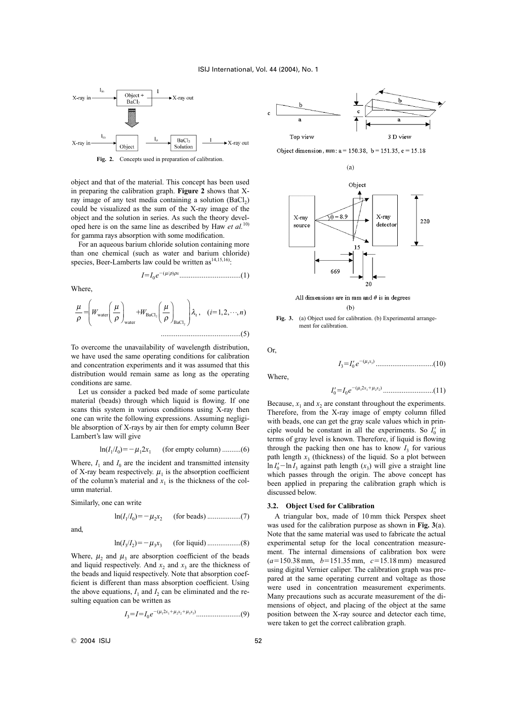

Fig. 2. Concepts used in preparation of calibration.

object and that of the material. This concept has been used in preparing the calibration graph. **Figure 2** shows that Xray image of any test media containing a solution  $(BaCl<sub>2</sub>)$ could be visualized as the sum of the X-ray image of the object and the solution in series. As such the theory developed here is on the same line as described by Haw *et al.*10) for gamma rays absorption with some modification.

For an aqueous barium chloride solution containing more than one chemical (such as water and barium chloride) species, Beer-Lamberts law could be written as<sup>14,15,16</sup>):

*I*-*I* 0 *e* (m/r)r*x* .................................(1)

Where,

...........................................(5) µ ρ µ ρ µ ρ - - *WW i* water <sup>λ</sup><sup>ι</sup> *n* water BaCl BaCl 2 2 , ( ,, ,) 1 2 ⋅⋅⋅

To overcome the unavailability of wavelength distribution, we have used the same operating conditions for calibration and concentration experiments and it was assumed that this distribution would remain same as long as the operating conditions are same.

Let us consider a packed bed made of some particulate material (beads) through which liquid is flowing. If one scans this system in various conditions using X-ray then one can write the following expressions. Assuming negligible absorption of X-rays by air then for empty column Beer Lambert's law will give

$$
\ln(I_1/I_0) = -\mu_1 2x_1
$$
 (for empty column) .........(6)

Where,  $I_1$  and  $I_0$  are the incident and transmitted intensity of X-ray beam respectively.  $\mu_1$  is the absorption coefficient of the column's material and  $x_1$  is the thickness of the column material.

Similarly, one can write

ln(*I*

ln(*I* 1 /*I* 0 )<sup>m</sup> <sup>2</sup> *x*2 (for beads) ..................(7)

and,

$$
n(I_3/I_2) = -\mu_3 x_3
$$
 (for liquid) .........(8)

Where,  $\mu_2$  and  $\mu_3$  are absorption coefficient of the beads and liquid respectively. And  $x_2$  and  $x_3$  are the thickness of the beads and liquid respectively. Note that absorption coefficient is different than mass absorption coefficient. Using the above equations,  $I_1$  and  $I_2$  can be eliminated and the resulting equation can be written as

*I* 3-*I*-*I* 0 *e* (<sup>m</sup> <sup>1</sup>2*x*1<sup>m</sup> <sup>2</sup> *x*2<sup>m</sup> <sup>3</sup> *x*3 ) ........................(9)



Object dimension, mm;  $a = 150.38$ ,  $b = 151.35$ ,  $c = 15.18$ 





All dimensions are in mm and  $\theta$  is in degrees  $(b)$ 

**Fig. 3.** (a) Object used for calibration. (b) Experimental arrangement for calibration.

Or,

*I* 3-*I* 0 *e* (<sup>m</sup> <sup>3</sup> *x*3 ) ...............................(10)

Where,

*I* 0 -*I* 0 *e* (<sup>m</sup> <sup>1</sup>2*x*1<sup>m</sup> <sup>2</sup> *x*2 ) ...........................(11)

Because,  $x_1$  and  $x_2$  are constant throughout the experiments. Therefore, from the X-ray image of empty column filled with beads, one can get the gray scale values which in principle would be constant in all the experiments. So  $I_0$  in terms of gray level is known. Therefore, if liquid is flowing through the packing then one has to know  $I_3$  for various path length  $x_3$  (thickness) of the liquid. So a plot between  $\ln I_0'$  -  $\ln I_3$  against path length  $(x_3)$  will give a straight line which passes through the origin. The above concept has been applied in preparing the calibration graph which is discussed below.

## **3.2. Object Used for Calibration**

A triangular box, made of 10 mm thick Perspex sheet was used for the calibration purpose as shown in **Fig. 3**(a). Note that the same material was used to fabricate the actual experimental setup for the local concentration measurement. The internal dimensions of calibration box were  $(a=150.38 \text{ mm}, b=151.35 \text{ mm}, c=15.18 \text{ mm})$  measured using digital Vernier caliper. The calibration graph was prepared at the same operating current and voltage as those were used in concentration measurement experiments. Many precautions such as accurate measurement of the dimensions of object, and placing of the object at the same position between the X-ray source and detector each time, were taken to get the correct calibration graph.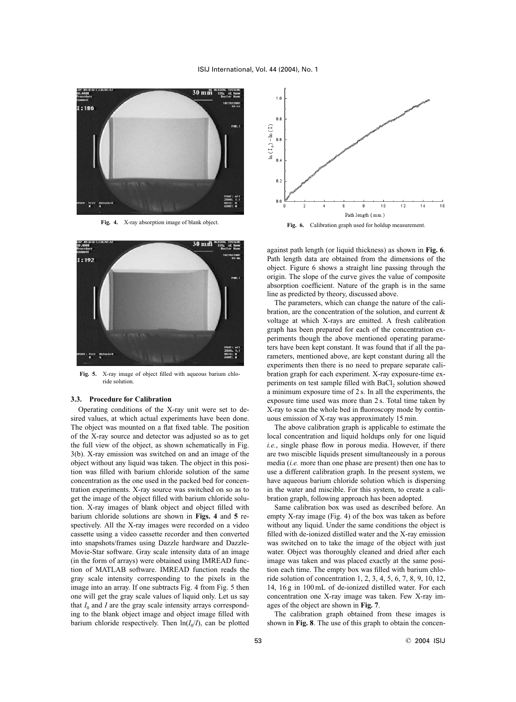

**Fig. 4.** X-ray absorption image of blank object.



**Fig. 5.** X-ray image of object filled with aqueous barium chloride solution.

# **3.3. Procedure for Calibration**

Operating conditions of the X-ray unit were set to desired values, at which actual experiments have been done. The object was mounted on a flat fixed table. The position of the X-ray source and detector was adjusted so as to get the full view of the object, as shown schematically in Fig. 3(b). X-ray emission was switched on and an image of the object without any liquid was taken. The object in this position was filled with barium chloride solution of the same concentration as the one used in the packed bed for concentration experiments. X-ray source was switched on so as to get the image of the object filled with barium chloride solution. X-ray images of blank object and object filled with barium chloride solutions are shown in **Figs. 4** and **5** respectively. All the X-ray images were recorded on a video cassette using a video cassette recorder and then converted into snapshots/frames using Dazzle hardware and Dazzle-Movie-Star software. Gray scale intensity data of an image (in the form of arrays) were obtained using IMREAD function of MATLAB software. IMREAD function reads the gray scale intensity corresponding to the pixels in the image into an array. If one subtracts Fig. 4 from Fig. 5 then one will get the gray scale values of liquid only. Let us say that  $I_0$  and *I* are the gray scale intensity arrays corresponding to the blank object image and object image filled with barium chloride respectively. Then  $\ln(I_0/I)$ , can be plotted



Fig. 6. Calibration graph used for holdup measurement.

against path length (or liquid thickness) as shown in **Fig. 6**. Path length data are obtained from the dimensions of the object. Figure 6 shows a straight line passing through the origin. The slope of the curve gives the value of composite absorption coefficient. Nature of the graph is in the same line as predicted by theory, discussed above.

The parameters, which can change the nature of the calibration, are the concentration of the solution, and current & voltage at which X-rays are emitted. A fresh calibration graph has been prepared for each of the concentration experiments though the above mentioned operating parameters have been kept constant. It was found that if all the parameters, mentioned above, are kept constant during all the experiments then there is no need to prepare separate calibration graph for each experiment. X-ray exposure-time experiments on test sample filled with  $BaCl<sub>2</sub>$  solution showed a minimum exposure time of 2 s. In all the experiments, the exposure time used was more than 2 s. Total time taken by X-ray to scan the whole bed in fluoroscopy mode by continuous emission of X-ray was approximately 15 min.

The above calibration graph is applicable to estimate the local concentration and liquid holdups only for one liquid *i.e.*, single phase flow in porous media. However, if there are two miscible liquids present simultaneously in a porous media (*i.e.* more than one phase are present) then one has to use a different calibration graph. In the present system, we have aqueous barium chloride solution which is dispersing in the water and miscible. For this system, to create a calibration graph, following approach has been adopted.

Same calibration box was used as described before. An empty X-ray image (Fig. 4) of the box was taken as before without any liquid. Under the same conditions the object is filled with de-ionized distilled water and the X-ray emission was switched on to take the image of the object with just water. Object was thoroughly cleaned and dried after each image was taken and was placed exactly at the same position each time. The empty box was filled with barium chloride solution of concentration 1, 2, 3, 4, 5, 6, 7, 8, 9, 10, 12, 14, 16 g in 100 mL of de-ionized distilled water. For each concentration one X-ray image was taken. Few X-ray images of the object are shown in **Fig. 7**.

The calibration graph obtained from these images is shown in **Fig. 8**. The use of this graph to obtain the concen-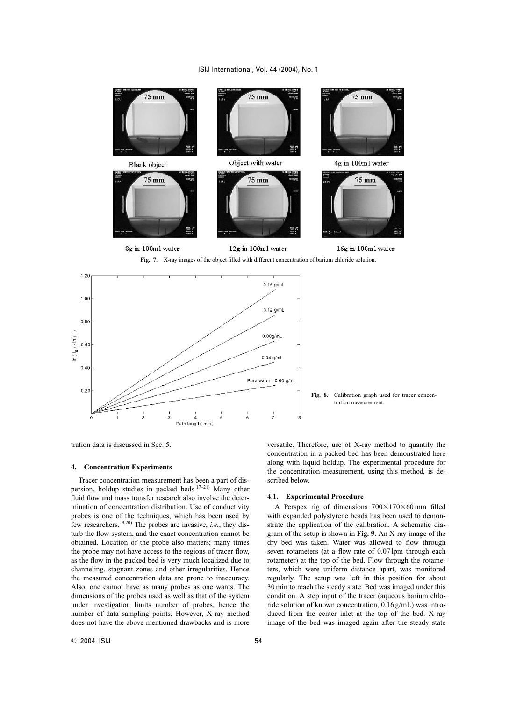



tration data is discussed in Sec. 5.

# **4. Concentration Experiments**

Tracer concentration measurement has been a part of dispersion, holdup studies in packed beds.<sup>17–21)</sup> Many other fluid flow and mass transfer research also involve the determination of concentration distribution. Use of conductivity probes is one of the techniques, which has been used by few researchers.19,20) The probes are invasive, *i.e.*, they disturb the flow system, and the exact concentration cannot be obtained. Location of the probe also matters; many times the probe may not have access to the regions of tracer flow, as the flow in the packed bed is very much localized due to channeling, stagnant zones and other irregularities. Hence the measured concentration data are prone to inaccuracy. Also, one cannot have as many probes as one wants. The dimensions of the probes used as well as that of the system under investigation limits number of probes, hence the number of data sampling points. However, X-ray method does not have the above mentioned drawbacks and is more

versatile. Therefore, use of X-ray method to quantify the concentration in a packed bed has been demonstrated here along with liquid holdup. The experimental procedure for the concentration measurement, using this method, is described below.

# **4.1. Experimental Procedure**

A Perspex rig of dimensions  $700\times170\times60$  mm filled with expanded polystyrene beads has been used to demonstrate the application of the calibration. A schematic diagram of the setup is shown in **Fig. 9**. An X-ray image of the dry bed was taken. Water was allowed to flow through seven rotameters (at a flow rate of 0.07 lpm through each rotameter) at the top of the bed. Flow through the rotameters, which were uniform distance apart, was monitored regularly. The setup was left in this position for about 30 min to reach the steady state. Bed was imaged under this condition. A step input of the tracer (aqueous barium chloride solution of known concentration, 0.16 g/mL) was introduced from the center inlet at the top of the bed. X-ray image of the bed was imaged again after the steady state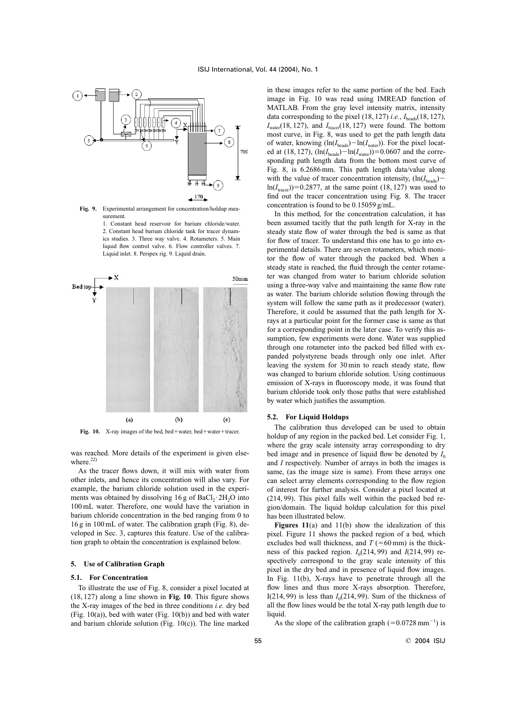

**Fig. 9.** Experimental arrangement for concentration/holdup measurement.

1. Constant head reservoir for barium chloride/water. 2. Constant head barium chloride tank for tracer dynamics studies. 3. Three way valve. 4. Rotameters. 5. Main liquid flow control valve. 6. Flow controller valves. 7. Liquid inlet. 8. Perspex rig. 9. Liquid drain.



Fig. 10. X-ray images of the bed, bed + water, bed + water + tracer.

was reached. More details of the experiment is given elsewhere. $22)$ 

As the tracer flows down, it will mix with water from other inlets, and hence its concentration will also vary. For example, the barium chloride solution used in the experiments was obtained by dissolving  $16$  g of  $BaCl_2 \cdot 2H_2O$  into 100 mL water. Therefore, one would have the variation in barium chloride concentration in the bed ranging from 0 to 16 g in 100 mL of water. The calibration graph (Fig. 8), developed in Sec. 3, captures this feature. Use of the calibration graph to obtain the concentration is explained below.

# **5. Use of Calibration Graph**

#### **5.1. For Concentration**

To illustrate the use of Fig. 8, consider a pixel located at (18, 127) along a line shown in **Fig. 10**. This figure shows the X-ray images of the bed in three conditions *i.e.* dry bed (Fig. 10(a)), bed with water (Fig. 10(b)) and bed with water and barium chloride solution (Fig. 10(c)). The line marked in these images refer to the same portion of the bed. Each image in Fig. 10 was read using IMREAD function of MATLAB. From the gray level intensity matrix, intensity data corresponding to the pixel  $(18, 127)$  *i.e.*,  $I_{\text{beads}}(18, 127)$ ,  $I_{\text{water}}(18, 127)$ , and  $I_{\text{tracer}}(18, 127)$  were found. The bottom most curve, in Fig. 8, was used to get the path length data of water, knowing  $(ln(I_{beads}) - ln(I_{water}))$ . For the pixel located at (18, 127),  $(\ln(I_{\text{beads}}) - \ln(I_{\text{water}})) = 0.0607$  and the corresponding path length data from the bottom most curve of Fig. 8, is 6.2686 mm. This path length data/value along with the value of tracer concentration intensity,  $(ln(I_{\text{beads}})$  $ln(I<sub>tracer</sub>))$ =0.2877, at the same point (18, 127) was used to find out the tracer concentration using Fig. 8. The tracer concentration is found to be 0.15059 g/mL.

In this method, for the concentration calculation, it has been assumed tacitly that the path length for X-ray in the steady state flow of water through the bed is same as that for flow of tracer. To understand this one has to go into experimental details. There are seven rotameters, which monitor the flow of water through the packed bed. When a steady state is reached, the fluid through the center rotameter was changed from water to barium chloride solution using a three-way valve and maintaining the same flow rate as water. The barium chloride solution flowing through the system will follow the same path as it predecessor (water). Therefore, it could be assumed that the path length for Xrays at a particular point for the former case is same as that for a corresponding point in the later case. To verify this assumption, few experiments were done. Water was supplied through one rotameter into the packed bed filled with expanded polystyrene beads through only one inlet. After leaving the system for 30 min to reach steady state, flow was changed to barium chloride solution. Using continuous emission of X-rays in fluoroscopy mode, it was found that barium chloride took only those paths that were established by water which justifies the assumption.

#### **5.2. For Liquid Holdups**

The calibration thus developed can be used to obtain holdup of any region in the packed bed. Let consider Fig. 1, where the gray scale intensity array corresponding to dry bed image and in presence of liquid flow be denoted by  $I_0$ and *I* respectively. Number of arrays in both the images is same, (as the image size is same). From these arrays one can select array elements corresponding to the flow region of interest for further analysis. Consider a pixel located at (214, 99). This pixel falls well within the packed bed region/domain. The liquid holdup calculation for this pixel has been illustrated below.

**Figures 11**(a) and 11(b) show the idealization of this pixel. Figure 11 shows the packed region of a bed, which excludes bed wall thickness, and  $T (= 60 \text{ mm})$  is the thickness of this packed region.  $I_0(214, 99)$  and  $I(214, 99)$  respectively correspond to the gray scale intensity of this pixel in the dry bed and in presence of liquid flow images. In Fig. 11(b), X-rays have to penetrate through all the flow lines and thus more X-rays absorption. Therefore, I(214, 99) is less than  $I_0(214, 99)$ . Sum of the thickness of all the flow lines would be the total X-ray path length due to liquid.

As the slope of the calibration graph  $(=0.0728 \text{ mm}^{-1})$  is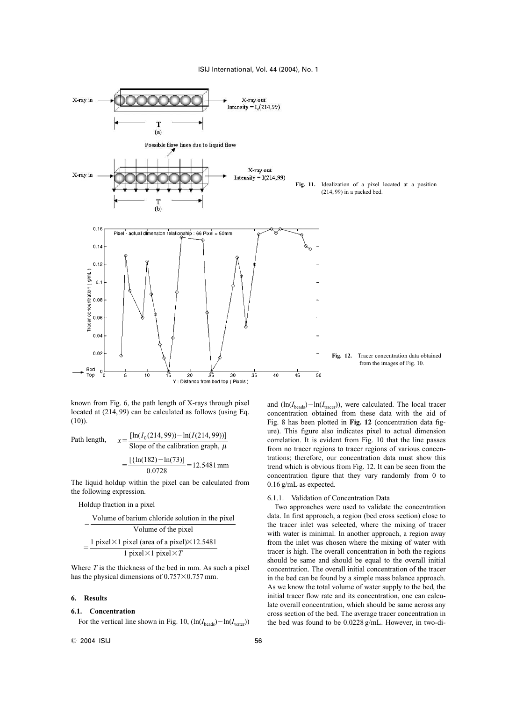

known from Fig. 6, the path length of X-rays through pixel located at (214, 99) can be calculated as follows (using Eq.  $(10)$ ).

Path length, 
$$
x = \frac{[\ln(I_0(214, 99)) - \ln(I(214, 99))]}{\text{Slope of the calibration graph, } \mu}
$$

$$
= \frac{[\{\ln(182) - \ln(73)]\}}{0.0728} = 12.5481 \text{ mm}
$$

The liquid holdup within the pixel can be calculated from the following expression.

## Holdup fraction in a pixel

-1 pixel  $\times$ 1 pixel (area of a pixel) $\times$ 12.5481 1 pixel  $\times$ 1 pixel  $\times$ *T* Volume of barium chloride solution in the pixel Volume of the pixel -

Where *T* is the thickness of the bed in mm. As such a pixel has the physical dimensions of  $0.757\times0.757$  mm.

# **6. Results**

# **6.1. Concentration**

For the vertical line shown in Fig. 10,  $(ln(I_{beads}) - ln(I_{water}))$ 

and  $(\ln(I_{\text{beads}}) - \ln(I_{\text{tracer}}))$ , were calculated. The local tracer concentration obtained from these data with the aid of Fig. 8 has been plotted in **Fig. 12** (concentration data figure). This figure also indicates pixel to actual dimension correlation. It is evident from Fig. 10 that the line passes from no tracer regions to tracer regions of various concentrations; therefore, our concentration data must show this trend which is obvious from Fig. 12. It can be seen from the concentration figure that they vary randomly from 0 to 0.16 g/mL as expected.

# 6.1.1. Validation of Concentration Data

Two approaches were used to validate the concentration data. In first approach, a region (bed cross section) close to the tracer inlet was selected, where the mixing of tracer with water is minimal. In another approach, a region away from the inlet was chosen where the mixing of water with tracer is high. The overall concentration in both the regions should be same and should be equal to the overall initial concentration. The overall initial concentration of the tracer in the bed can be found by a simple mass balance approach. As we know the total volume of water supply to the bed, the initial tracer flow rate and its concentration, one can calculate overall concentration, which should be same across any cross section of the bed. The average tracer concentration in the bed was found to be 0.0228 g/mL. However, in two-di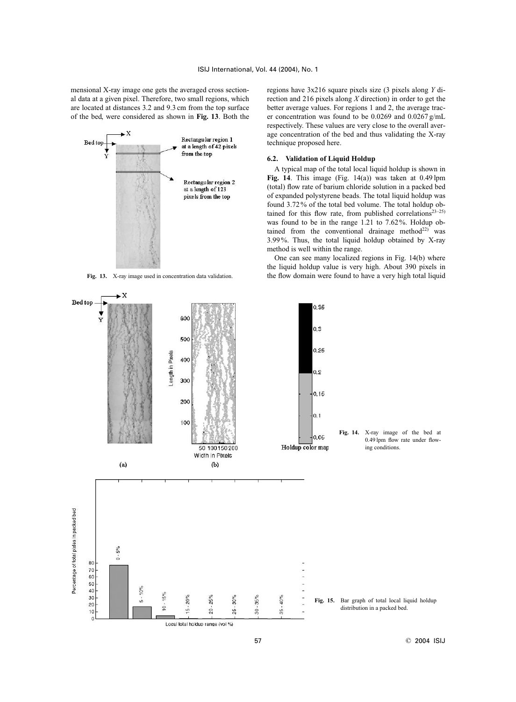mensional X-ray image one gets the averaged cross sectional data at a given pixel. Therefore, two small regions, which are located at distances 3.2 and 9.3 cm from the top surface of the bed, were considered as shown in **Fig. 13**. Both the



**Fig. 13.** X-ray image used in concentration data validation.

regions have 3x216 square pixels size (3 pixels along *Y* direction and 216 pixels along *X* direction) in order to get the better average values. For regions 1 and 2, the average tracer concentration was found to be 0.0269 and 0.0267 g/mL respectively. These values are very close to the overall average concentration of the bed and thus validating the X-ray technique proposed here.

## **6.2. Validation of Liquid Holdup**

A typical map of the total local liquid holdup is shown in **Fig. 14**. This image (Fig. 14(a)) was taken at 0.49 lpm (total) flow rate of barium chloride solution in a packed bed of expanded polystyrene beads. The total liquid holdup was found 3.72% of the total bed volume. The total holdup obtained for this flow rate, from published correlations<sup>23–25)</sup> was found to be in the range 1.21 to 7.62 %. Holdup obtained from the conventional drainage method $^{22)}$  was 3.99%. Thus, the total liquid holdup obtained by X-ray method is well within the range.

One can see many localized regions in Fig. 14(b) where the liquid holdup value is very high. About 390 pixels in the flow domain were found to have a very high total liquid